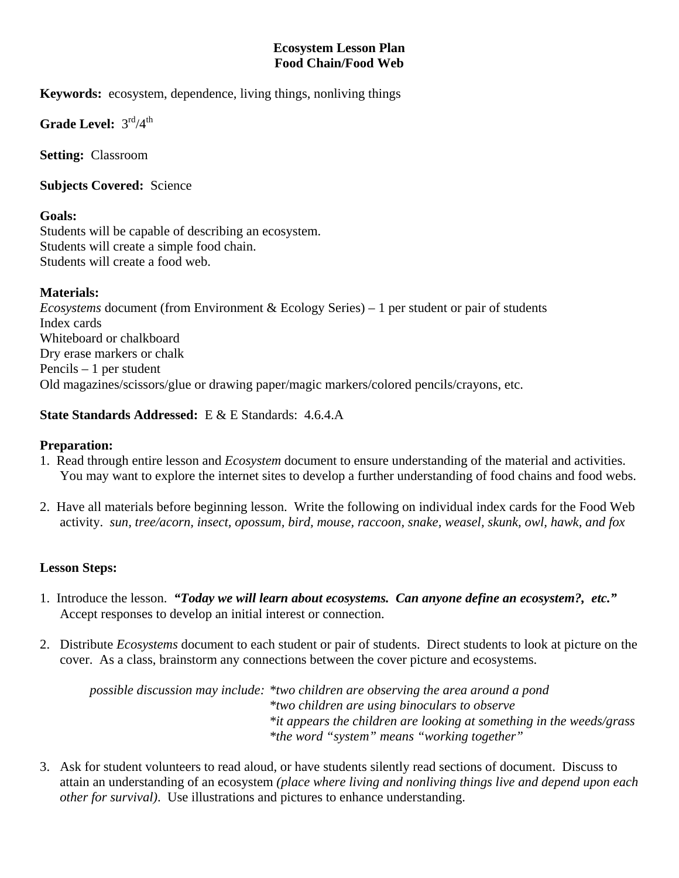#### **Ecosystem Lesson Plan Food Chain/Food Web**

**Keywords:** ecosystem, dependence, living things, nonliving things

Grade Level:  $3^{\text{rd}}/4^{\text{th}}$ 

**Setting:** Classroom

**Subjects Covered:** Science

### **Goals:**

Students will be capable of describing an ecosystem. Students will create a simple food chain. Students will create a food web.

#### **Materials:**

*Ecosystems* document (from Environment & Ecology Series) – 1 per student or pair of students Index cards Whiteboard or chalkboard Dry erase markers or chalk Pencils – 1 per student Old magazines/scissors/glue or drawing paper/magic markers/colored pencils/crayons, etc.

### **State Standards Addressed:** E & E Standards: 4.6.4.A

## **Preparation:**

- 1. Read through entire lesson and *Ecosystem* document to ensure understanding of the material and activities. You may want to explore the internet sites to develop a further understanding of food chains and food webs.
- 2. Have all materials before beginning lesson. Write the following on individual index cards for the Food Web activity. *sun, tree/acorn, insect, opossum, bird, mouse, raccoon, snake, weasel, skunk, owl, hawk, and fox*

# **Lesson Steps:**

- 1. Introduce the lesson. *"Today we will learn about ecosystems. Can anyone define an ecosystem?, etc."* Accept responses to develop an initial interest or connection.
- 2. Distribute *Ecosystems* document to each student or pair of students. Direct students to look at picture on the cover. As a class, brainstorm any connections between the cover picture and ecosystems.

 *possible discussion may include: \*two children are observing the area around a pond \*two children are using binoculars to observe \*it appears the children are looking at something in the weeds/grass \*the word "system" means "working together"* 

3. Ask for student volunteers to read aloud, or have students silently read sections of document. Discuss to attain an understanding of an ecosystem *(place where living and nonliving things live and depend upon each other for survival)*. Use illustrations and pictures to enhance understanding.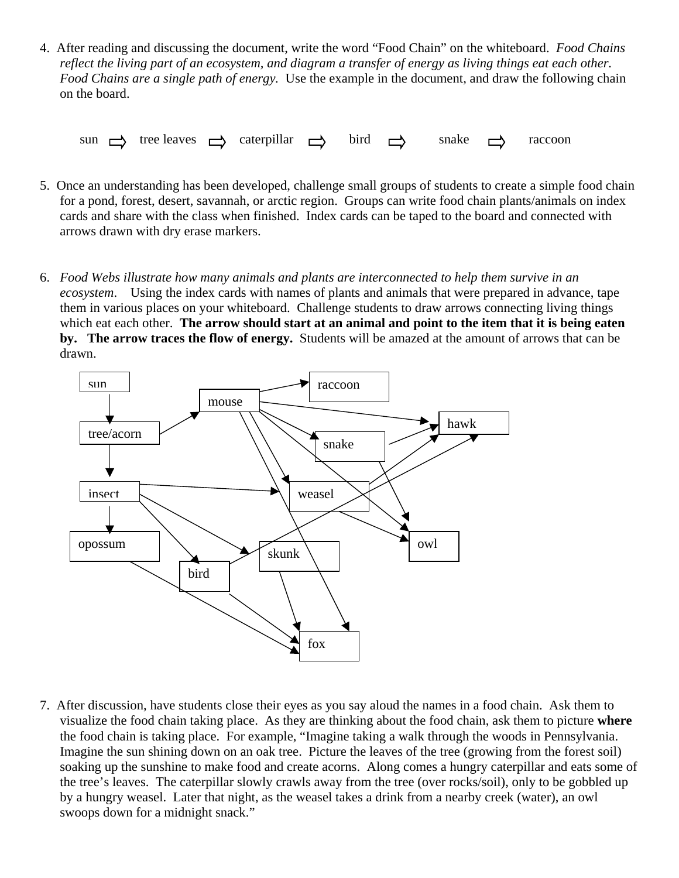4. After reading and discussing the document, write the word "Food Chain" on the whiteboard. *Food Chains reflect the living part of an ecosystem, and diagram a transfer of energy as living things eat each other. Food Chains are a single path of energy.* Use the example in the document, and draw the following chain on the board.

sun  $\Rightarrow$  tree leaves  $\Rightarrow$  caterpillar  $\Rightarrow$  bird  $\Rightarrow$  snake  $\Rightarrow$  raccoon

- 5. Once an understanding has been developed, challenge small groups of students to create a simple food chain for a pond, forest, desert, savannah, or arctic region. Groups can write food chain plants/animals on index cards and share with the class when finished. Index cards can be taped to the board and connected with arrows drawn with dry erase markers.
- 6. *Food Webs illustrate how many animals and plants are interconnected to help them survive in an ecosystem*. Using the index cards with names of plants and animals that were prepared in advance, tape them in various places on your whiteboard. Challenge students to draw arrows connecting living things which eat each other. **The arrow should start at an animal and point to the item that it is being eaten by. The arrow traces the flow of energy.** Students will be amazed at the amount of arrows that can be drawn.



7. After discussion, have students close their eyes as you say aloud the names in a food chain. Ask them to visualize the food chain taking place. As they are thinking about the food chain, ask them to picture **where** the food chain is taking place. For example, "Imagine taking a walk through the woods in Pennsylvania. Imagine the sun shining down on an oak tree. Picture the leaves of the tree (growing from the forest soil) soaking up the sunshine to make food and create acorns. Along comes a hungry caterpillar and eats some of the tree's leaves. The caterpillar slowly crawls away from the tree (over rocks/soil), only to be gobbled up by a hungry weasel. Later that night, as the weasel takes a drink from a nearby creek (water), an owl swoops down for a midnight snack."